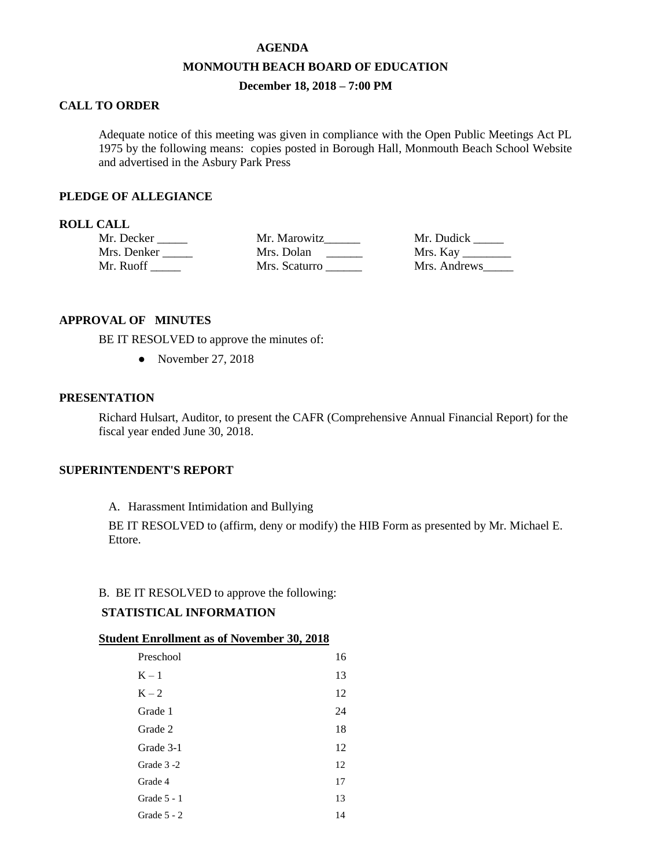### **AGENDA**

### **MONMOUTH BEACH BOARD OF EDUCATION**

# **December 18, 2018 – 7:00 PM**

## **CALL TO ORDER**

Adequate notice of this meeting was given in compliance with the Open Public Meetings Act PL 1975 by the following means: copies posted in Borough Hall, Monmouth Beach School Website and advertised in the Asbury Park Press

## **PLEDGE OF ALLEGIANCE**

## **ROLL CALL**

| Mr. Decker  | Mr. Marowitz  | Mr. Dudick      |
|-------------|---------------|-----------------|
| Mrs. Denker | Mrs. Dolan    | Mrs. Kay $\_\_$ |
| Mr. Ruoff   | Mrs. Scaturro | Mrs. Andrews    |

## **APPROVAL OF MINUTES**

BE IT RESOLVED to approve the minutes of:

• November 27, 2018

## **PRESENTATION**

Richard Hulsart, Auditor, to present the CAFR (Comprehensive Annual Financial Report) for the fiscal year ended June 30, 2018.

## **SUPERINTENDENT'S REPORT**

A. Harassment Intimidation and Bullying

BE IT RESOLVED to (affirm, deny or modify) the HIB Form as presented by Mr. Michael E. Ettore.

### B. BE IT RESOLVED to approve the following:

# **STATISTICAL INFORMATION**

### **Student Enrollment as of November 30, 2018**

| Preschool     | 16 |
|---------------|----|
| $K - 1$       | 13 |
| $K - 2$       | 12 |
| Grade 1       | 24 |
| Grade 2       | 18 |
| Grade 3-1     | 12 |
| Grade 3-2     | 12 |
| Grade 4       | 17 |
| Grade $5 - 1$ | 13 |
| Grade $5 - 2$ | 14 |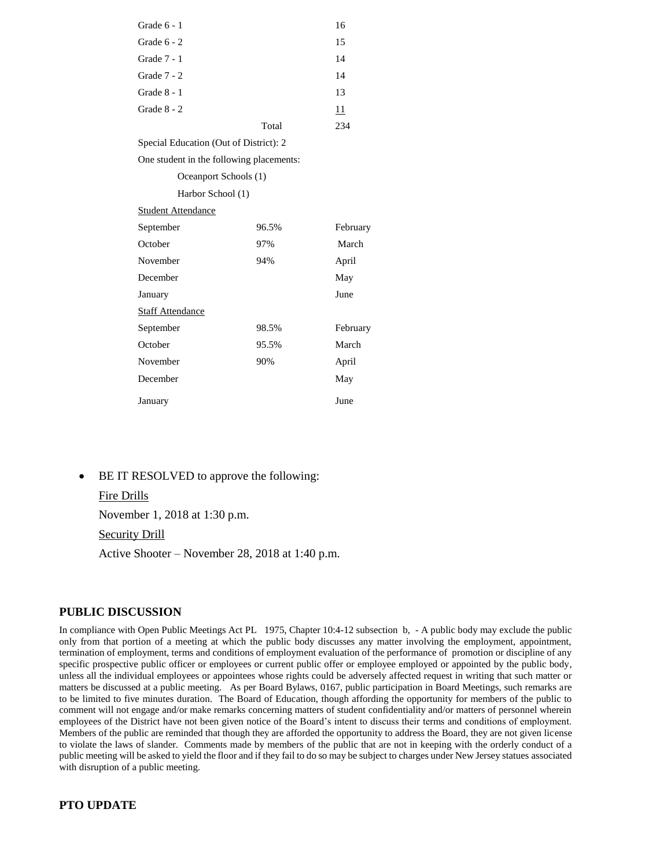| Grade $6 - 1$                            |       | 16       |  |  |
|------------------------------------------|-------|----------|--|--|
| Grade $6 - 2$                            |       | 15       |  |  |
| Grade 7 - 1                              |       | 14       |  |  |
| Grade $7 - 2$                            |       | 14       |  |  |
| Grade $8 - 1$                            |       | 13       |  |  |
| Grade $8 - 2$                            |       | 11       |  |  |
|                                          | Total | 234      |  |  |
| Special Education (Out of District): 2   |       |          |  |  |
| One student in the following placements: |       |          |  |  |
| Oceanport Schools (1)                    |       |          |  |  |
| Harbor School (1)                        |       |          |  |  |
| <b>Student Attendance</b>                |       |          |  |  |
| September                                | 96.5% | February |  |  |
| October                                  | 97%   | March    |  |  |
| November                                 | 94%   | April    |  |  |
| December                                 |       | May      |  |  |
| January                                  |       | June     |  |  |
| <b>Staff Attendance</b>                  |       |          |  |  |
| September                                | 98.5% | February |  |  |
| October                                  | 95.5% | March    |  |  |

November 90% April December May

- January June
- BE IT RESOLVED to approve the following:

### Fire Drills

November 1, 2018 at 1:30 p.m.

Security Drill

Active Shooter – November 28, 2018 at 1:40 p.m.

#### **PUBLIC DISCUSSION**

In compliance with Open Public Meetings Act PL 1975, Chapter 10:4-12 subsection b, - A public body may exclude the public only from that portion of a meeting at which the public body discusses any matter involving the employment, appointment, termination of employment, terms and conditions of employment evaluation of the performance of promotion or discipline of any specific prospective public officer or employees or current public offer or employee employed or appointed by the public body, unless all the individual employees or appointees whose rights could be adversely affected request in writing that such matter or matters be discussed at a public meeting. As per Board Bylaws, 0167, public participation in Board Meetings, such remarks are to be limited to five minutes duration. The Board of Education, though affording the opportunity for members of the public to comment will not engage and/or make remarks concerning matters of student confidentiality and/or matters of personnel wherein employees of the District have not been given notice of the Board's intent to discuss their terms and conditions of employment. Members of the public are reminded that though they are afforded the opportunity to address the Board, they are not given license to violate the laws of slander. Comments made by members of the public that are not in keeping with the orderly conduct of a public meeting will be asked to yield the floor and if they fail to do so may be subject to charges under New Jersey statues associated with disruption of a public meeting.

### **PTO UPDATE**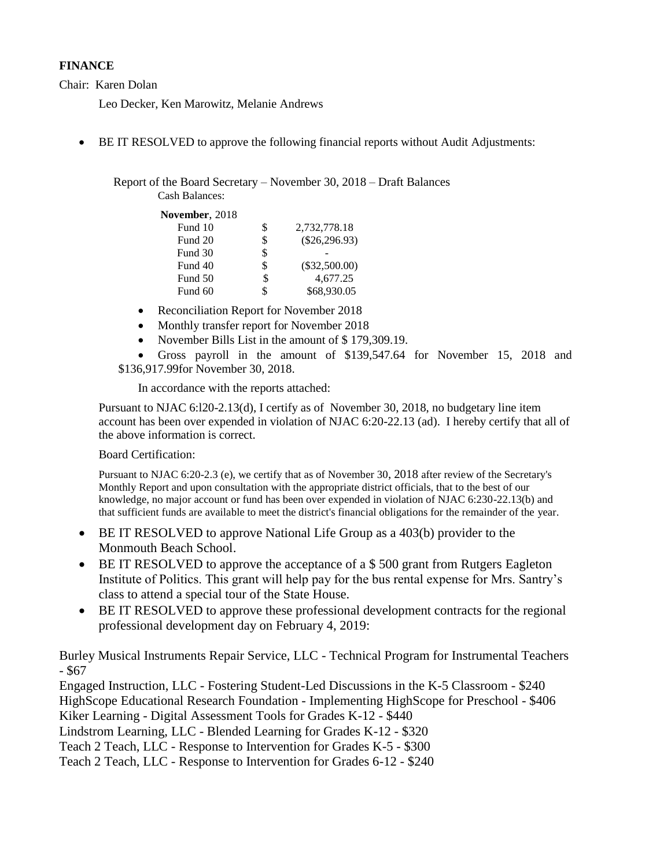# **FINANCE**

Chair: Karen Dolan

Leo Decker, Ken Marowitz, Melanie Andrews

BE IT RESOLVED to approve the following financial reports without Audit Adjustments:

Report of the Board Secretary – November 30, 2018 – Draft Balances Cash Balances:

**November**, 2018

| S  | 2,732,778.18    |
|----|-----------------|
| S  | $(\$26,296.93)$ |
| S  |                 |
| S  | $(\$32,500.00)$ |
| \$ | 4.677.25        |
|    | \$68,930.05     |
|    |                 |

- Reconciliation Report for November 2018
- Monthly transfer report for November 2018
- November Bills List in the amount of \$179,309.19.

 Gross payroll in the amount of \$139,547.64 for November 15, 2018 and \$136,917.99for November 30, 2018.

In accordance with the reports attached:

Pursuant to NJAC 6:l20-2.13(d), I certify as of November 30, 2018, no budgetary line item account has been over expended in violation of NJAC 6:20-22.13 (ad). I hereby certify that all of the above information is correct.

Board Certification:

Pursuant to NJAC 6:20-2.3 (e), we certify that as of November 30, 2018 after review of the Secretary's Monthly Report and upon consultation with the appropriate district officials, that to the best of our knowledge, no major account or fund has been over expended in violation of NJAC 6:230-22.13(b) and that sufficient funds are available to meet the district's financial obligations for the remainder of the year.

- BE IT RESOLVED to approve National Life Group as a 403(b) provider to the Monmouth Beach School.
- BE IT RESOLVED to approve the acceptance of a \$ 500 grant from Rutgers Eagleton Institute of Politics. This grant will help pay for the bus rental expense for Mrs. Santry's class to attend a special tour of the State House.
- BE IT RESOLVED to approve these professional development contracts for the regional professional development day on February 4, 2019:

Burley Musical Instruments Repair Service, LLC - Technical Program for Instrumental Teachers - \$67

Engaged Instruction, LLC - Fostering Student-Led Discussions in the K-5 Classroom - \$240 HighScope Educational Research Foundation - Implementing HighScope for Preschool - \$406 Kiker Learning - Digital Assessment Tools for Grades K-12 - \$440 Lindstrom Learning, LLC - Blended Learning for Grades K-12 - \$320 Teach 2 Teach, LLC - Response to Intervention for Grades K-5 - \$300

Teach 2 Teach, LLC - Response to Intervention for Grades 6-12 - \$240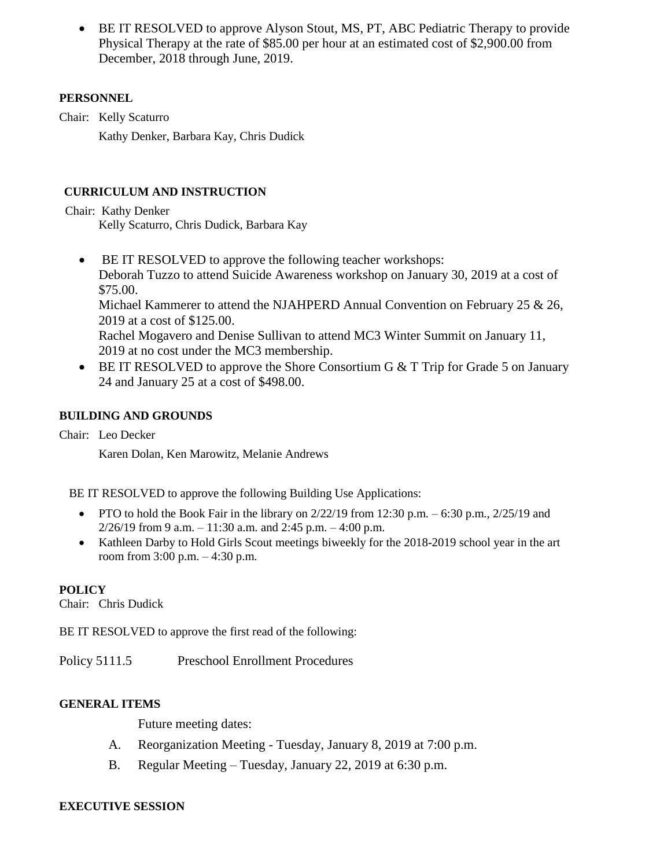BE IT RESOLVED to approve Alyson Stout, MS, PT, ABC Pediatric Therapy to provide Physical Therapy at the rate of \$85.00 per hour at an estimated cost of \$2,900.00 from December, 2018 through June, 2019.

# **PERSONNEL**

Chair: Kelly Scaturro

Kathy Denker, Barbara Kay, Chris Dudick

# **CURRICULUM AND INSTRUCTION**

Chair: Kathy Denker Kelly Scaturro, Chris Dudick, Barbara Kay

- BE IT RESOLVED to approve the following teacher workshops: Deborah Tuzzo to attend Suicide Awareness workshop on January 30, 2019 at a cost of \$75.00. Michael Kammerer to attend the NJAHPERD Annual Convention on February 25 & 26, 2019 at a cost of \$125.00. Rachel Mogavero and Denise Sullivan to attend MC3 Winter Summit on January 11, 2019 at no cost under the MC3 membership.
- $\bullet$  BE IT RESOLVED to approve the Shore Consortium G & T Trip for Grade 5 on January 24 and January 25 at a cost of \$498.00.

# **BUILDING AND GROUNDS**

Chair: Leo Decker

Karen Dolan, Ken Marowitz, Melanie Andrews

BE IT RESOLVED to approve the following Building Use Applications:

- PTO to hold the Book Fair in the library on  $2/22/19$  from 12:30 p.m. 6:30 p.m.,  $2/25/19$  and  $2/26/19$  from 9 a.m.  $-11:30$  a.m. and 2:45 p.m.  $-4:00$  p.m.
- Kathleen Darby to Hold Girls Scout meetings biweekly for the 2018-2019 school year in the art room from 3:00 p.m. – 4:30 p.m.

# **POLICY**

Chair: Chris Dudick

BE IT RESOLVED to approve the first read of the following:

Policy 5111.5 Preschool Enrollment Procedures

## **GENERAL ITEMS**

Future meeting dates:

- A. Reorganization Meeting Tuesday, January 8, 2019 at 7:00 p.m.
- B. Regular Meeting Tuesday, January 22, 2019 at 6:30 p.m.

## **EXECUTIVE SESSION**